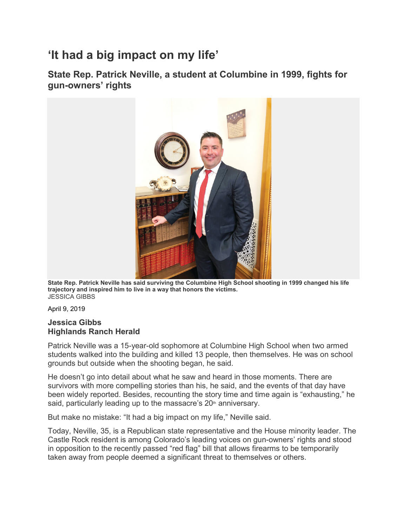## **'It had a big impact on my life'**

**State Rep. Patrick Neville, a student at Columbine in 1999, fights for gun-owners' rights**



**State Rep. Patrick Neville has said surviving the Columbine High School shooting in 1999 changed his life trajectory and inspired him to live in a way that honors the victims.** JESSICA GIBBS

April 9, 2019

## **Jessica Gibbs Highlands Ranch Herald**

Patrick Neville was a 15-year-old sophomore at Columbine High School when two armed students walked into the building and killed 13 people, then themselves. He was on school grounds but outside when the shooting began, he said.

He doesn't go into detail about what he saw and heard in those moments. There are survivors with more compelling stories than his, he said, and the events of that day have been widely reported. Besides, recounting the story time and time again is "exhausting," he said, particularly leading up to the massacre's  $20<sup>th</sup>$  anniversary.

But make no mistake: "It had a big impact on my life," Neville said.

Today, Neville, 35, is a Republican state representative and the House minority leader. The Castle Rock resident is among Colorado's leading voices on gun-owners' rights and stood in opposition to the recently passed "red flag" bill that allows firearms to be temporarily taken away from people deemed a significant threat to themselves or others.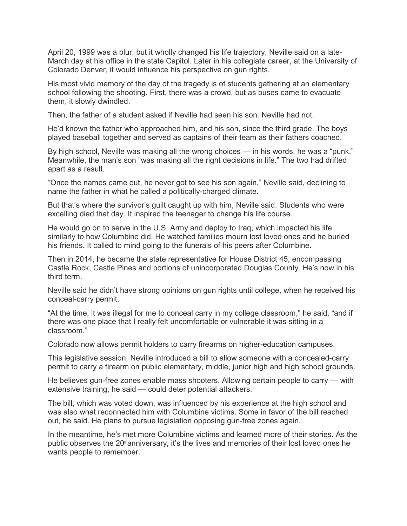April 20, 1999 was a blur, but it wholly changed his life trajectory, Neville said on a late-March day at his office in the state Capitol. Later in his collegiate career, at the University of Colorado Denver, it would influence his perspective on gun rights.

His most vivid memory of the day of the tragedy is of students gathering at an elementary school following the shooting. First, there was a crowd, but as buses came to evacuate them, it slowly dwindled.

Then, the father of a student asked if Neville had seen his son. Neville had not.

He'd known the father who approached him, and his son, since the third grade. The boys played baseball together and served as captains of their team as their fathers coached.

By high school, Neville was making all the wrong choices — in his words, he was a "punk." Meanwhile, the man's son "was making all the right decisions in life." The two had drifted apart as a result.

"Once the names came out, he never got to see his son again," Neville said, declining to name the father in what he called a politically-charged climate.

But that's where the survivor's guilt caught up with him, Neville said. Students who were excelling died that day. It inspired the teenager to change his life course.

He would go on to serve in the U.S. Army and deploy to Iraq, which impacted his life similarly to how Columbine did. He watched families mourn lost loved ones and he buried his friends. It called to mind going to the funerals of his peers after Columbine.

Then in 2014, he became the state representative for House District 45, encompassing Castle Rock, Castle Pines and portions of unincorporated Douglas County. He's now in his third term.

Neville said he didn't have strong opinions on gun rights until college, when he received his conceal-carry permit.

"At the time, it was illegal for me to conceal carry in my college classroom," he said, "and if there was one place that I really felt uncomfortable or vulnerable it was sitting in a classroom."

Colorado now allows permit holders to carry firearms on higher-education campuses.

This legislative session, Neville introduced a bill to allow someone with a concealed-carry permit to carry a firearm on public elementary, middle, junior high and high school grounds.

He believes gun-free zones enable mass shooters. Allowing certain people to carry — with extensive training, he said — could deter potential attackers.

The bill, which was voted down, was influenced by his experience at the high school and was also what reconnected him with Columbine victims. Some in favor of the bill reached out, he said. He plans to pursue legislation opposing gun-free zones again.

In the meantime, he's met more Columbine victims and learned more of their stories. As the public observes the  $20<sup>th</sup>$ anniversary, it's the lives and memories of their lost loved ones he wants people to remember.